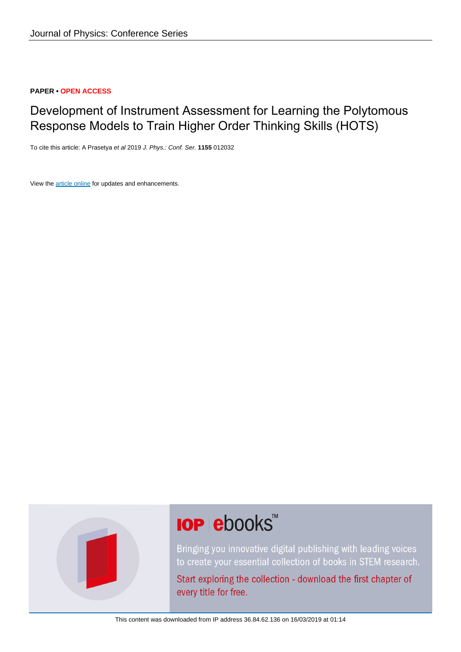# **PAPER • OPEN ACCESS**

# Development of Instrument Assessment for Learning the Polytomous Response Models to Train Higher Order Thinking Skills (HOTS)

To cite this article: A Prasetya et al 2019 J. Phys.: Conf. Ser. **1155** 012032

View the [article online](https://doi.org/10.1088/1742-6596/1155/1/012032) for updates and enhancements.



# **IOP ebooks**™

Bringing you innovative digital publishing with leading voices to create your essential collection of books in STEM research.

Start exploring the collection - download the first chapter of every title for free.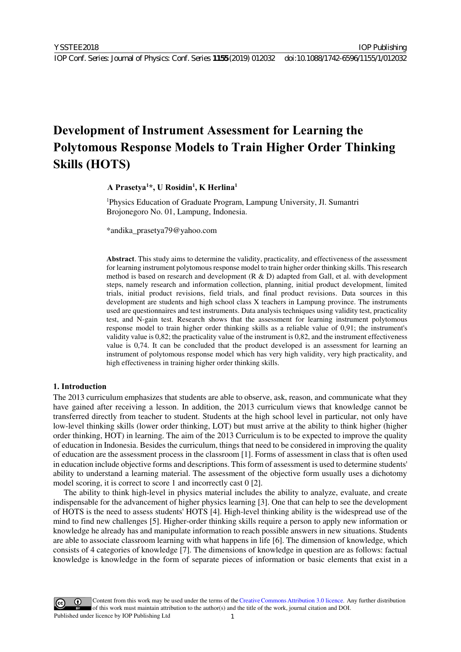IOP Publishing

# **Development of Instrument Assessment for Learning the Polytomous Response Models to Train Higher Order Thinking Skills (HOTS)**

**A Prasetya1 \*, U Rosidin1 , K Herlina1** 

<sup>1</sup>Physics Education of Graduate Program, Lampung University, Jl. Sumantri Brojonegoro No. 01, Lampung, Indonesia.

\*andika\_prasetya79@yahoo.com

**Abstract**. This study aims to determine the validity, practicality, and effectiveness of the assessment for learning instrument polytomous response model to train higher order thinking skills. This research method is based on research and development (R & D) adapted from Gall, et al. with development steps, namely research and information collection, planning, initial product development, limited trials, initial product revisions, field trials, and final product revisions. Data sources in this development are students and high school class X teachers in Lampung province. The instruments used are questionnaires and test instruments. Data analysis techniques using validity test, practicality test, and N-gain test. Research shows that the assessment for learning instrument polytomous response model to train higher order thinking skills as a reliable value of 0,91; the instrument's validity value is 0,82; the practicality value of the instrument is 0,82, and the instrument effectiveness value is 0,74. It can be concluded that the product developed is an assessment for learning an instrument of polytomous response model which has very high validity, very high practicality, and high effectiveness in training higher order thinking skills.

# **1. Introduction**

The 2013 curriculum emphasizes that students are able to observe, ask, reason, and communicate what they have gained after receiving a lesson. In addition, the 2013 curriculum views that knowledge cannot be transferred directly from teacher to student. Students at the high school level in particular, not only have low-level thinking skills (lower order thinking, LOT) but must arrive at the ability to think higher (higher order thinking, HOT) in learning. The aim of the 2013 Curriculum is to be expected to improve the quality of education in Indonesia. Besides the curriculum, things that need to be considered in improving the quality of education are the assessment process in the classroom [1]. Forms of assessment in class that is often used in education include objective forms and descriptions. This form of assessment is used to determine students' ability to understand a learning material. The assessment of the objective form usually uses a dichotomy model scoring, it is correct to score 1 and incorrectly cast 0 [2].

The ability to think high-level in physics material includes the ability to analyze, evaluate, and create indispensable for the advancement of higher physics learning [3]. One that can help to see the development of HOTS is the need to assess students' HOTS [4]. High-level thinking ability is the widespread use of the mind to find new challenges [5]. Higher-order thinking skills require a person to apply new information or knowledge he already has and manipulate information to reach possible answers in new situations. Students are able to associate classroom learning with what happens in life [6]. The dimension of knowledge, which consists of 4 categories of knowledge [7]. The dimensions of knowledge in question are as follows: factual knowledge is knowledge in the form of separate pieces of information or basic elements that exist in a

Content from this work may be used under the terms of the[Creative Commons Attribution 3.0 licence.](http://creativecommons.org/licenses/by/3.0) Any further distribution of this work must maintain attribution to the author(s) and the title of the work, journal citation and DOI. Published under licence by IOP Publishing Ltd 1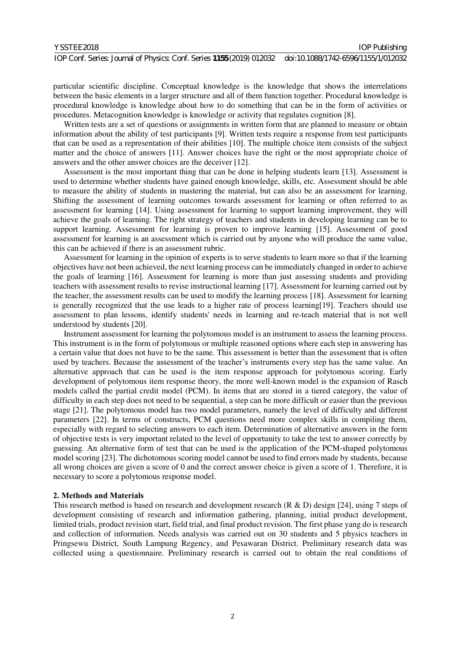| YSSTEE2018 |  |
|------------|--|
|------------|--|

particular scientific discipline. Conceptual knowledge is the knowledge that shows the interrelations between the basic elements in a larger structure and all of them function together. Procedural knowledge is procedural knowledge is knowledge about how to do something that can be in the form of activities or procedures. Metacognition knowledge is knowledge or activity that regulates cognition [8].

Written tests are a set of questions or assignments in written form that are planned to measure or obtain information about the ability of test participants [9]. Written tests require a response from test participants that can be used as a representation of their abilities [10]. The multiple choice item consists of the subject matter and the choice of answers [11]. Answer choices have the right or the most appropriate choice of answers and the other answer choices are the deceiver [12].

Assessment is the most important thing that can be done in helping students learn [13]. Assessment is used to determine whether students have gained enough knowledge, skills, etc. Assessment should be able to measure the ability of students in mastering the material, but can also be an assessment for learning. Shifting the assessment of learning outcomes towards assessment for learning or often referred to as assessment for learning [14]. Using assessment for learning to support learning improvement, they will achieve the goals of learning. The right strategy of teachers and students in developing learning can be to support learning. Assessment for learning is proven to improve learning [15]. Assessment of good assessment for learning is an assessment which is carried out by anyone who will produce the same value, this can be achieved if there is an assessment rubric.

Assessment for learning in the opinion of experts is to serve students to learn more so that if the learning objectives have not been achieved, the next learning process can be immediately changed in order to achieve the goals of learning [16]. Assessment for learning is more than just assessing students and providing teachers with assessment results to revise instructional learning [17]. Assessment for learning carried out by the teacher, the assessment results can be used to modify the learning process [18]. Assessment for learning is generally recognized that the use leads to a higher rate of process learning[19]. Teachers should use assessment to plan lessons, identify students' needs in learning and re-teach material that is not well understood by students [20].

Instrument assessment for learning the polytomous model is an instrument to assess the learning process. This instrument is in the form of polytomous or multiple reasoned options where each step in answering has a certain value that does not have to be the same. This assessment is better than the assessment that is often used by teachers. Because the assessment of the teacher's instruments every step has the same value. An alternative approach that can be used is the item response approach for polytomous scoring. Early development of polytomous item response theory, the more well-known model is the expansion of Rasch models called the partial credit model (PCM). In items that are stored in a tiered category, the value of difficulty in each step does not need to be sequential, a step can be more difficult or easier than the previous stage [21]. The polytomous model has two model parameters, namely the level of difficulty and different parameters [22]. In terms of constructs, PCM questions need more complex skills in compiling them, especially with regard to selecting answers to each item. Determination of alternative answers in the form of objective tests is very important related to the level of opportunity to take the test to answer correctly by guessing. An alternative form of test that can be used is the application of the PCM-shaped polytomous model scoring [23]. The dichotomous scoring model cannot be used to find errors made by students, because all wrong choices are given a score of 0 and the correct answer choice is given a score of 1. Therefore, it is necessary to score a polytomous response model.

#### **2. Methods and Materials**

This research method is based on research and development research (R & D) design [24], using 7 steps of development consisting of research and information gathering, planning, initial product development, limited trials, product revision start, field trial, and final product revision. The first phase yang do is research and collection of information. Needs analysis was carried out on 30 students and 5 physics teachers in Pringsewu District, South Lampung Regency, and Pesawaran District. Preliminary research data was collected using a questionnaire. Preliminary research is carried out to obtain the real conditions of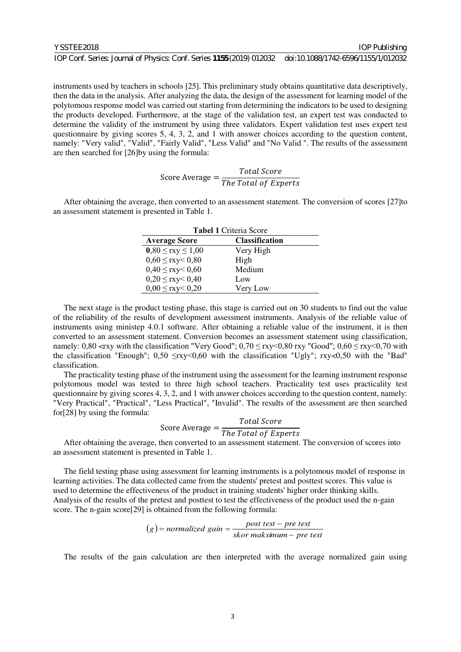IOP Publishing

instruments used by teachers in schools [25]. This preliminary study obtains quantitative data descriptively, then the data in the analysis. After analyzing the data, the design of the assessment for learning model of the polytomous response model was carried out starting from determining the indicators to be used to designing the products developed. Furthermore, at the stage of the validation test, an expert test was conducted to determine the validity of the instrument by using three validators. Expert validation test uses expert test questionnaire by giving scores 5, 4, 3, 2, and 1 with answer choices according to the question content, namely: "Very valid", "Valid", "Fairly Valid", "Less Valid" and "No Valid ". The results of the assessment are then searched for [26]by using the formula:

# Score Average = -  $\sum_{i=1}^{n} a_i$

After obtaining the average, then converted to an assessment statement. The conversion of scores [27]to an assessment statement is presented in Table 1.

| <b>Tabel 1 Criteria Score</b> |                       |  |  |  |  |
|-------------------------------|-----------------------|--|--|--|--|
| <b>Average Score</b>          | <b>Classification</b> |  |  |  |  |
| $0,80 \leq$ rxy $\leq 1,00$   | Very High             |  |  |  |  |
| $0,60 \leq$ rxy< $0,80$       | High                  |  |  |  |  |
| $0,40 \leq$ rxy< $0,60$       | Medium                |  |  |  |  |
| $0,20 \leq$ rxy< $0,40$       | Low                   |  |  |  |  |
| $0,00 \leq$ rxy< 0,20         | Very Low              |  |  |  |  |

The next stage is the product testing phase, this stage is carried out on 30 students to find out the value of the reliability of the results of development assessment instruments. Analysis of the reliable value of instruments using ministep 4.0.1 software. After obtaining a reliable value of the instrument, it is then converted to an assessment statement. Conversion becomes an assessment statement using classification, namely:  $0.80 \leq$ rxy with the classification "Very Good";  $0.70 \leq$  rxy $\leq$ 0.80 rxy "Good";  $0.60 \leq$  rxy $\leq$ 0.70 with the classification "Enough";  $0.50 \leq$ rxy<0.60 with the classification "Ugly"; rxy<0.50 with the "Bad" classification.

The practicality testing phase of the instrument using the assessment for the learning instrument response polytomous model was tested to three high school teachers. Practicality test uses practicality test questionnaire by giving scores 4, 3, 2, and 1 with answer choices according to the question content, namely: "Very Practical", "Practical", "Less Practical", "Invalid". The results of the assessment are then searched for[28] by using the formula:

$$
Score\ Average = \frac{Total\ Score}{The\ Total\ of\ Expert.}
$$

After obtaining the average, then converted to an assessment statement. The conversion of scores into an assessment statement is presented in Table 1.

The field testing phase using assessment for learning instruments is a polytomous model of response in learning activities. The data collected came from the students' pretest and posttest scores. This value is used to determine the effectiveness of the product in training students' higher order thinking skills. Analysis of the results of the pretest and posttest to test the effectiveness of the product used the n-gain score. The n-gain score[29] is obtained from the following formula:

$$
(g) = normalized gain = \frac{post test - pre test}{skor maksimum - pre test}
$$

The results of the gain calculation are then interpreted with the average normalized gain using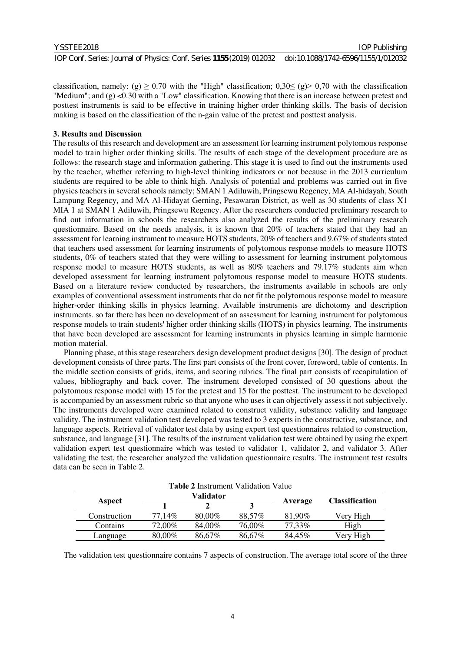#### YSSTEE2018

IOP Publishing

classification, namely: (g)  $\geq$  0.70 with the "High" classification; 0,30 $\leq$  (g) > 0,70 with the classification "Medium"; and (g) <0.30 with a "Low" classification. Knowing that there is an increase between pretest and posttest instruments is said to be effective in training higher order thinking skills. The basis of decision making is based on the classification of the n-gain value of the pretest and posttest analysis.

# **3. Results and Discussion**

The results of this research and development are an assessment for learning instrument polytomous response model to train higher order thinking skills. The results of each stage of the development procedure are as follows: the research stage and information gathering. This stage it is used to find out the instruments used by the teacher, whether referring to high-level thinking indicators or not because in the 2013 curriculum students are required to be able to think high. Analysis of potential and problems was carried out in five physics teachers in several schools namely; SMAN 1 Adiluwih, Pringsewu Regency, MA Al-hidayah, South Lampung Regency, and MA Al-Hidayat Gerning, Pesawaran District, as well as 30 students of class X1 MIA 1 at SMAN 1 Adiluwih, Pringsewu Regency. After the researchers conducted preliminary research to find out information in schools the researchers also analyzed the results of the preliminary research questionnaire. Based on the needs analysis, it is known that 20% of teachers stated that they had an assessment for learning instrument to measure HOTS students, 20% of teachers and 9.67% of students stated that teachers used assessment for learning instruments of polytomous response models to measure HOTS students, 0% of teachers stated that they were willing to assessment for learning instrument polytomous response model to measure HOTS students, as well as 80% teachers and 79.17% students aim when developed assessment for learning instrument polytomous response model to measure HOTS students. Based on a literature review conducted by researchers, the instruments available in schools are only examples of conventional assessment instruments that do not fit the polytomous response model to measure higher-order thinking skills in physics learning. Available instruments are dichotomy and description instruments. so far there has been no development of an assessment for learning instrument for polytomous response models to train students' higher order thinking skills (HOTS) in physics learning. The instruments that have been developed are assessment for learning instruments in physics learning in simple harmonic motion material.

Planning phase, at this stage researchers design development product designs [30]. The design of product development consists of three parts. The first part consists of the front cover, foreword, table of contents. In the middle section consists of grids, items, and scoring rubrics. The final part consists of recapitulation of values, bibliography and back cover. The instrument developed consisted of 30 questions about the polytomous response model with 15 for the pretest and 15 for the posttest. The instrument to be developed is accompanied by an assessment rubric so that anyone who uses it can objectively assess it not subjectively. The instruments developed were examined related to construct validity, substance validity and language validity. The instrument validation test developed was tested to 3 experts in the constructive, substance, and language aspects. Retrieval of validator test data by using expert test questionnaires related to construction, substance, and language [31]. The results of the instrument validation test were obtained by using the expert validation expert test questionnaire which was tested to validator 1, validator 2, and validator 3. After validating the test, the researcher analyzed the validation questionnaire results. The instrument test results data can be seen in Table 2.

| <b>Table 2</b> Instrument Validation Value |        |           |        |         |                       |  |
|--------------------------------------------|--------|-----------|--------|---------|-----------------------|--|
|                                            |        | Validator |        |         |                       |  |
| Aspect                                     |        |           |        | Average | <b>Classification</b> |  |
| Construction                               | 77,14% | 80,00%    | 88,57% | 81,90%  | Very High             |  |
| Contains                                   | 72,00% | 84,00%    | 76,00% | 77,33%  | High                  |  |
| Language                                   | 80,00% | 86,67%    | 86,67% | 84,45%  | Very High             |  |

The validation test questionnaire contains 7 aspects of construction. The average total score of the three

#### 4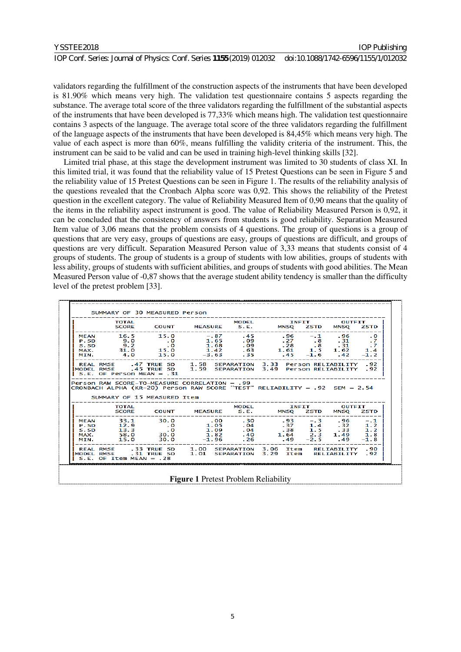| YSSTEE2018                                                                                                | <b>IOP Publishing</b> |
|-----------------------------------------------------------------------------------------------------------|-----------------------|
| IOP Conf. Series: Journal of Physics: Conf. Series 1155 (2019) 012032 doi:10.1088/1742-6596/1155/1/012032 |                       |

validators regarding the fulfillment of the construction aspects of the instruments that have been developed is 81.90% which means very high. The validation test questionnaire contains 5 aspects regarding the substance. The average total score of the three validators regarding the fulfillment of the substantial aspects of the instruments that have been developed is 77,33% which means high. The validation test questionnaire contains 3 aspects of the language. The average total score of the three validators regarding the fulfillment of the language aspects of the instruments that have been developed is 84,45% which means very high. The value of each aspect is more than 60%, means fulfilling the validity criteria of the instrument. This, the instrument can be said to be valid and can be used in training high-level thinking skills [32].

Limited trial phase, at this stage the development instrument was limited to 30 students of class XI. In this limited trial, it was found that the reliability value of 15 Pretest Questions can be seen in Figure 5 and the reliability value of 15 Pretest Questions can be seen in Figure 1. The results of the reliability analysis of the questions revealed that the Cronbach Alpha score was 0,92. This shows the reliability of the Pretest question in the excellent category. The value of Reliability Measured Item of 0,90 means that the quality of the items in the reliability aspect instrument is good. The value of Reliability Measured Person is 0,92, it can be concluded that the consistency of answers from students is good reliability. Separation Measured Item value of 3,06 means that the problem consists of 4 questions. The group of questions is a group of questions that are very easy, groups of questions are easy, groups of questions are difficult, and groups of questions are very difficult. Separation Measured Person value of 3,33 means that students consist of 4 groups of students. The group of students is a group of students with low abilities, groups of students with less ability, groups of students with sufficient abilities, and groups of students with good abilities. The Mean Measured Person value of -0,87 shows that the average student ability tendency is smaller than the difficulty level of the pretest problem [33].

| MEAN 16.5 15.0 -.87 .45 .96 -.1 .96 .0<br>9.0 0 1.65 09 27 8 31 7<br>5.5D 9.2 .0 1.68 09 .28 .8 31 .7<br>MAX. 31.0 15.0 1.42 .63 1.61 1.5 1.62 1.4<br>MIN. 4.0 15.0 -3.63 .35 .45 -1.6 .42 -1.2                 |  |  | . _ _ _ _ _ _ _ _ _ _ _ _ _ |        |
|-----------------------------------------------------------------------------------------------------------------------------------------------------------------------------------------------------------------|--|--|-----------------------------|--------|
| .<br>  REAL RMSE     .47 TRUE SD     1.58  SEPARATION  3.33  Person RELIABILITY   .92<br> MODEL RMSE     .45 TRUE SD     1.59  SEPARATION  3.49  Person RELIABILITY   .92<br>$S.E. OF Person MEAN = .31$        |  |  |                             |        |
|                                                                                                                                                                                                                 |  |  |                             |        |
| Person RAW SCORE-TO-MEASURE CORRELATION = .99<br>CRONBACH ALPHA (KR-20) Person RAW SCORE "TEST" RELIABILITY = .92 SEM = 2.54<br>SUMMARY OF 15 MEASURED TTPM                                                     |  |  |                             |        |
|                                                                                                                                                                                                                 |  |  |                             |        |
| MEAN 33.1 30.0 .00 .30 .93 -.3 .96 -.1<br>P. SD 12.9 .0 1.05 .04 .37 1.4 .32 1.2<br>5.5D 13.3 .0 1.09 .04 .38 1.5 .33 1.2<br>MAX. 58.0 30.0 1.82 .40 1.64 2.3 1.49 1.8<br>MIN. 15.0 30.0 -1.96 .26 .49 -2.5 .49 |  |  |                             | $-1.8$ |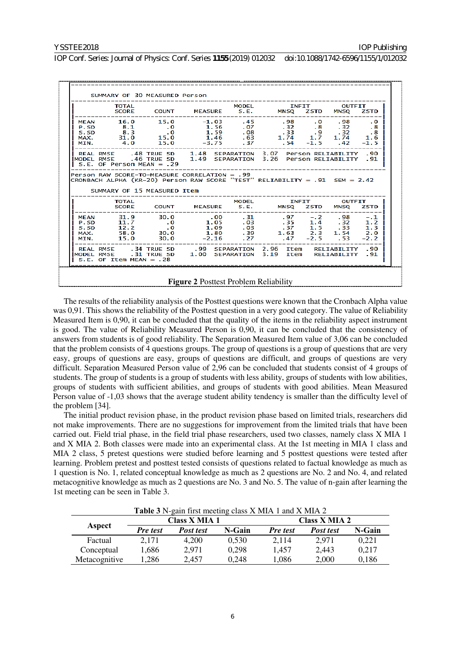| TOTAL                                                                        |  | MODEL INFIT OUTFIT<br>SCORE COUNT MEASURE S.E. MNSQ ZSTD MNSQ ZSTD                                                                                                                                                                                                                                                           |  |  |
|------------------------------------------------------------------------------|--|------------------------------------------------------------------------------------------------------------------------------------------------------------------------------------------------------------------------------------------------------------------------------------------------------------------------------|--|--|
|                                                                              |  | MEAN 16.0 15.0 -1.03 .45 .98 .0 .98 .0<br>9.50 8.1 .0 1.56 .07 .32 .8 .32 .8<br>S.S.D 8.3 .0 1.56 .07 .32 .8 .32 .8<br>MAX. 31.0 15.0 1.46 .63 1.74 1.7 1.74 1.6<br>MIN. 4.0 15.0 -3.75 .37 .54 -1.5 .42 -1.5                                                                                                                |  |  |
| $S.E.$ OF Person MEAN = .29                                                  |  | REAL RMSE .48 TRUE SD 1.48 SEPARATION 3.07 Person RELIABILITY .90<br>MODEL RMSE .46 TRUE SD 1.49 SEPARATION 3.26 Person RELIABILITY .91                                                                                                                                                                                      |  |  |
|                                                                              |  |                                                                                                                                                                                                                                                                                                                              |  |  |
| Person RAW SCORE-TO-MEASURE CORRELATION = .99<br>SUMMARY OF 15 MEASURED Item |  | CRONBACH ALPHA (KR-20) Person RAW SCORE "TEST" RELIABILITY = .91 SEM = 2.42                                                                                                                                                                                                                                                  |  |  |
|                                                                              |  |                                                                                                                                                                                                                                                                                                                              |  |  |
|                                                                              |  | TOTAL<br>SCORE COUNT MEASURE S.E. MNSQ ZSTD MNSQ ZSTD<br>SCORE COUNT MEASURE S.E. MNSQ ZSTD MNSQ ZSTD<br>MEAN 31.9 30.0 .00 .31 .97 -.2 .98 -.1<br>P.SD 11.7 .0 1.05 .03 .35 1.4 .32 1.2<br>s.sp 12.2 .0 1.09 .03 .37 1.5 .33 1.3<br>MAX. 58.0 30.0 1.80 .39 1.63 2.3 1.54 2.0<br>MIN. 15.0 30.0 -2.16 .27 .47 -2.5 .53 -2.2 |  |  |

The results of the reliability analysis of the Posttest questions were known that the Cronbach Alpha value was 0,91. This shows the reliability of the Posttest question in a very good category. The value of Reliability Measured Item is 0,90, it can be concluded that the quality of the items in the reliability aspect instrument is good. The value of Reliability Measured Person is 0,90, it can be concluded that the consistency of answers from students is of good reliability. The Separation Measured Item value of 3,06 can be concluded that the problem consists of 4 questions groups. The group of questions is a group of questions that are very easy, groups of questions are easy, groups of questions are difficult, and groups of questions are very difficult. Separation Measured Person value of 2,96 can be concluded that students consist of 4 groups of students. The group of students is a group of students with less ability, groups of students with low abilities, groups of students with sufficient abilities, and groups of students with good abilities. Mean Measured Person value of -1,03 shows that the average student ability tendency is smaller than the difficulty level of the problem [34].

The initial product revision phase, in the product revision phase based on limited trials, researchers did not make improvements. There are no suggestions for improvement from the limited trials that have been carried out. Field trial phase, in the field trial phase researchers, used two classes, namely class X MIA 1 and X MIA 2. Both classes were made into an experimental class. At the 1st meeting in MIA 1 class and MIA 2 class, 5 pretest questions were studied before learning and 5 posttest questions were tested after learning. Problem pretest and posttest tested consists of questions related to factual knowledge as much as 1 question is No. 1, related conceptual knowledge as much as 2 questions are No. 2 and No. 4, and related metacognitive knowledge as much as 2 questions are No. 3 and No. 5. The value of n-gain after learning the 1st meeting can be seen in Table 3.

| <b>Table 3</b> N-gain first meeting class X MIA 1 and X MIA 2 |                      |           |        |                 |                  |        |  |  |
|---------------------------------------------------------------|----------------------|-----------|--------|-----------------|------------------|--------|--|--|
|                                                               | <b>Class X MIA 1</b> |           |        | Class X MIA 2   |                  |        |  |  |
| Aspect                                                        | <b>Pre</b> test      | Post test | N-Gain | <b>Pre</b> test | <b>Post test</b> | N-Gain |  |  |
| Factual                                                       | 2.171                | 4.200     | 0,530  | 2.114           | 2.971            | 0,221  |  |  |
| Conceptual                                                    | 1,686                | 2,971     | 0,298  | 1,457           | 2,443            | 0,217  |  |  |
| Metacognitive                                                 | .286                 | 2,457     | 0.248  | 1,086           | 2,000            | 0,186  |  |  |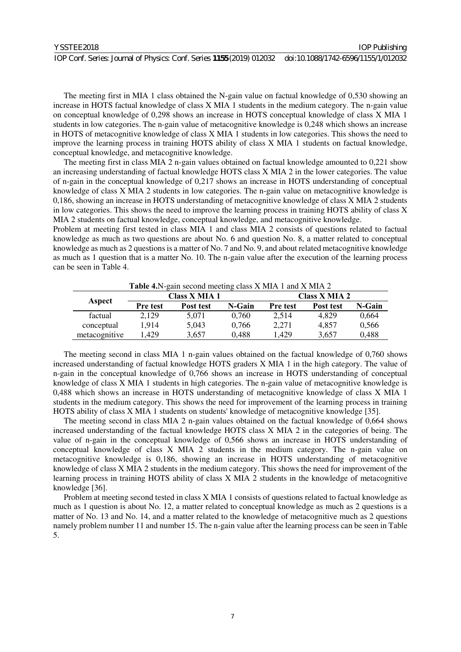| YSSTEE2018                                                                                                | <b>IOP Publishing</b> |
|-----------------------------------------------------------------------------------------------------------|-----------------------|
| IOP Conf. Series: Journal of Physics: Conf. Series 1155 (2019) 012032 doi:10.1088/1742-6596/1155/1/012032 |                       |

The meeting first in MIA 1 class obtained the N-gain value on factual knowledge of 0,530 showing an increase in HOTS factual knowledge of class X MIA 1 students in the medium category. The n-gain value on conceptual knowledge of 0,298 shows an increase in HOTS conceptual knowledge of class X MIA 1 students in low categories. The n-gain value of metacognitive knowledge is 0,248 which shows an increase in HOTS of metacognitive knowledge of class X MIA 1 students in low categories. This shows the need to improve the learning process in training HOTS ability of class X MIA 1 students on factual knowledge, conceptual knowledge, and metacognitive knowledge.

The meeting first in class MIA 2 n-gain values obtained on factual knowledge amounted to 0,221 show an increasing understanding of factual knowledge HOTS class X MIA 2 in the lower categories. The value of n-gain in the conceptual knowledge of 0,217 shows an increase in HOTS understanding of conceptual knowledge of class X MIA 2 students in low categories. The n-gain value on metacognitive knowledge is 0,186, showing an increase in HOTS understanding of metacognitive knowledge of class X MIA 2 students in low categories. This shows the need to improve the learning process in training HOTS ability of class X MIA 2 students on factual knowledge, conceptual knowledge, and metacognitive knowledge.

Problem at meeting first tested in class MIA 1 and class MIA 2 consists of questions related to factual knowledge as much as two questions are about No. 6 and question No. 8, a matter related to conceptual knowledge as much as 2 questions is a matter of No. 7 and No. 9, and about related metacognitive knowledge as much as 1 question that is a matter No. 10. The n-gain value after the execution of the learning process can be seen in Table 4.

| <b>Table 4.</b> N-gain second meeting class X MIA 1 and X MIA 2 |          |                      |        |                 |           |        |  |
|-----------------------------------------------------------------|----------|----------------------|--------|-----------------|-----------|--------|--|
|                                                                 |          | <b>Class X MIA 1</b> |        | Class X MIA 2   |           |        |  |
| Aspect                                                          | Pre test | Post test            | N-Gain | <b>Pre</b> test | Post test | N-Gain |  |
| factual                                                         | 2,129    | 5.071                | 0.760  | 2.514           | 4,829     | 0,664  |  |
| conceptual                                                      | 1.914    | 5,043                | 0.766  | 2,271           | 4,857     | 0,566  |  |
| metacognitive                                                   | 1.429    | 3,657                | 0,488  | 1,429           | 3,657     | 0,488  |  |

The meeting second in class MIA 1 n-gain values obtained on the factual knowledge of 0,760 shows increased understanding of factual knowledge HOTS graders X MIA 1 in the high category. The value of n-gain in the conceptual knowledge of 0,766 shows an increase in HOTS understanding of conceptual knowledge of class X MIA 1 students in high categories. The n-gain value of metacognitive knowledge is 0,488 which shows an increase in HOTS understanding of metacognitive knowledge of class X MIA 1 students in the medium category. This shows the need for improvement of the learning process in training HOTS ability of class X MIA 1 students on students' knowledge of metacognitive knowledge [35].

The meeting second in class MIA 2 n-gain values obtained on the factual knowledge of 0,664 shows increased understanding of the factual knowledge HOTS class X MIA 2 in the categories of being. The value of n-gain in the conceptual knowledge of 0,566 shows an increase in HOTS understanding of conceptual knowledge of class X MIA 2 students in the medium category. The n-gain value on metacognitive knowledge is 0,186, showing an increase in HOTS understanding of metacognitive knowledge of class X MIA 2 students in the medium category. This shows the need for improvement of the learning process in training HOTS ability of class X MIA 2 students in the knowledge of metacognitive knowledge [36].

Problem at meeting second tested in class X MIA 1 consists of questions related to factual knowledge as much as 1 question is about No. 12, a matter related to conceptual knowledge as much as 2 questions is a matter of No. 13 and No. 14, and a matter related to the knowledge of metacognitive much as 2 questions namely problem number 11 and number 15. The n-gain value after the learning process can be seen in Table 5.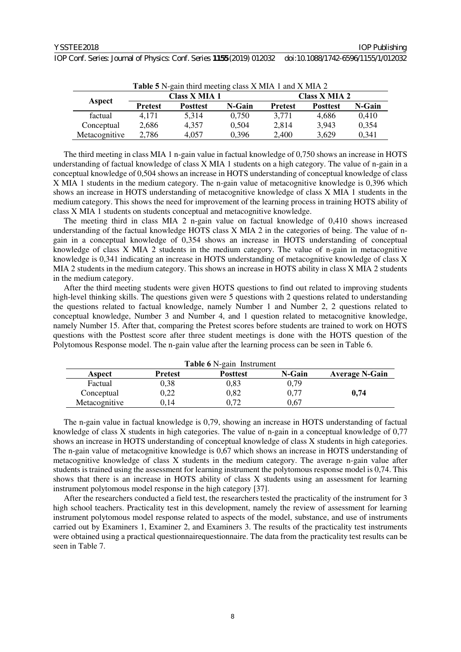| IOP Conf. Series: Journal of Physics: Conf. Series 1155 (2019) 012032 doi:10.1088/1742-6596/1155/1/012032 |  |
|-----------------------------------------------------------------------------------------------------------|--|
|-----------------------------------------------------------------------------------------------------------|--|

| <b>Table 5</b> N-gain third meeting class X MIA 1 and X MIA 2 |                |                      |        |                |                 |               |  |
|---------------------------------------------------------------|----------------|----------------------|--------|----------------|-----------------|---------------|--|
|                                                               |                | <b>Class X MIA 1</b> |        |                |                 | Class X MIA 2 |  |
| Aspect                                                        | <b>Pretest</b> | <b>Posttest</b>      | N-Gain | <b>Pretest</b> | <b>Posttest</b> | N-Gain        |  |
| factual                                                       | 4.171          | 5.314                | 0.750  | 3.771          | 4.686           | 0.410         |  |
| Conceptual                                                    | 2,686          | 4.357                | 0,504  | 2,814          | 3,943           | 0,354         |  |
| Metacognitive                                                 | 2,786          | 4,057                | 0,396  | 2,400          | 3,629           | 0,341         |  |

The third meeting in class MIA 1 n-gain value in factual knowledge of 0,750 shows an increase in HOTS understanding of factual knowledge of class X MIA 1 students on a high category. The value of n-gain in a conceptual knowledge of 0,504 shows an increase in HOTS understanding of conceptual knowledge of class X MIA 1 students in the medium category. The n-gain value of metacognitive knowledge is 0,396 which shows an increase in HOTS understanding of metacognitive knowledge of class X MIA 1 students in the medium category. This shows the need for improvement of the learning process in training HOTS ability of class X MIA 1 students on students conceptual and metacognitive knowledge.

The meeting third in class MIA 2 n-gain value on factual knowledge of 0,410 shows increased understanding of the factual knowledge HOTS class X MIA 2 in the categories of being. The value of ngain in a conceptual knowledge of 0,354 shows an increase in HOTS understanding of conceptual knowledge of class X MIA 2 students in the medium category. The value of n-gain in metacognitive knowledge is 0,341 indicating an increase in HOTS understanding of metacognitive knowledge of class X MIA 2 students in the medium category. This shows an increase in HOTS ability in class X MIA 2 students in the medium category.

After the third meeting students were given HOTS questions to find out related to improving students high-level thinking skills. The questions given were 5 questions with 2 questions related to understanding the questions related to factual knowledge, namely Number 1 and Number 2, 2 questions related to conceptual knowledge, Number 3 and Number 4, and 1 question related to metacognitive knowledge, namely Number 15. After that, comparing the Pretest scores before students are trained to work on HOTS questions with the Posttest score after three student meetings is done with the HOTS question of the Polytomous Response model. The n-gain value after the learning process can be seen in Table 6.

| <b>Table 6</b> N-gain Instrument |         |                 |        |                       |  |
|----------------------------------|---------|-----------------|--------|-----------------------|--|
| Aspect                           | Pretest | <b>Posttest</b> | N-Gain | <b>Average N-Gain</b> |  |
| Factual                          | 0.38    | 0,83            | 0,79   |                       |  |
| Conceptual                       | 0,22    | 0,82            | 0.77   | 0,74                  |  |
| Metacognitive                    | 0.14    | 0.72            | 0.67   |                       |  |

The n-gain value in factual knowledge is 0,79, showing an increase in HOTS understanding of factual knowledge of class X students in high categories. The value of n-gain in a conceptual knowledge of 0,77 shows an increase in HOTS understanding of conceptual knowledge of class X students in high categories. The n-gain value of metacognitive knowledge is 0,67 which shows an increase in HOTS understanding of metacognitive knowledge of class X students in the medium category. The average n-gain value after students is trained using the assessment for learning instrument the polytomous response model is 0,74. This shows that there is an increase in HOTS ability of class X students using an assessment for learning instrument polytomous model response in the high category [37].

After the researchers conducted a field test, the researchers tested the practicality of the instrument for 3 high school teachers. Practicality test in this development, namely the review of assessment for learning instrument polytomous model response related to aspects of the model, substance, and use of instruments carried out by Examiners 1, Examiner 2, and Examiners 3. The results of the practicality test instruments were obtained using a practical questionnairequestionnaire. The data from the practicality test results can be seen in Table 7.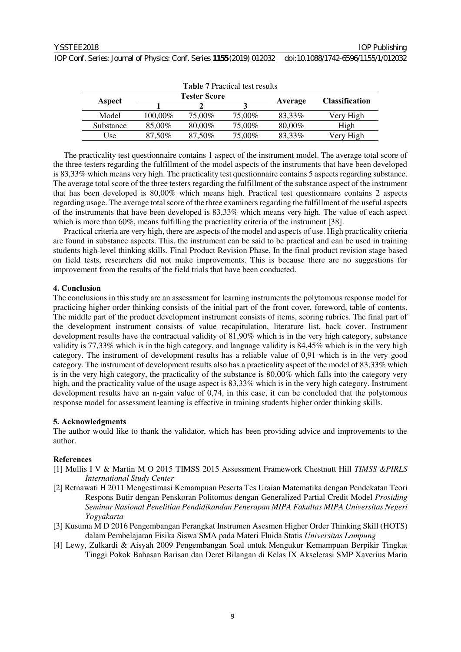| <b>Table 7 Practical test results</b> |                     |        |        |         |                       |
|---------------------------------------|---------------------|--------|--------|---------|-----------------------|
| Aspect                                | <b>Tester Score</b> |        |        |         | <b>Classification</b> |
|                                       |                     |        |        | Average |                       |
| Model                                 | 100,00%             | 75,00% | 75,00% | 83,33%  | Very High             |
| Substance                             | 85,00%              | 80,00% | 75,00% | 80,00%  | High                  |
| Use                                   | 87,50%              | 87,50% | 75,00% | 83,33%  | Verv High             |

The practicality test questionnaire contains 1 aspect of the instrument model. The average total score of the three testers regarding the fulfillment of the model aspects of the instruments that have been developed is 83,33% which means very high. The practicality test questionnaire contains 5 aspects regarding substance. The average total score of the three testers regarding the fulfillment of the substance aspect of the instrument that has been developed is 80,00% which means high. Practical test questionnaire contains 2 aspects regarding usage. The average total score of the three examiners regarding the fulfillment of the useful aspects of the instruments that have been developed is 83,33% which means very high. The value of each aspect which is more than 60%, means fulfilling the practicality criteria of the instrument [38].

Practical criteria are very high, there are aspects of the model and aspects of use. High practicality criteria are found in substance aspects. This, the instrument can be said to be practical and can be used in training students high-level thinking skills. Final Product Revision Phase, In the final product revision stage based on field tests, researchers did not make improvements. This is because there are no suggestions for improvement from the results of the field trials that have been conducted.

## **4. Conclusion**

The conclusions in this study are an assessment for learning instruments the polytomous response model for practicing higher order thinking consists of the initial part of the front cover, foreword, table of contents. The middle part of the product development instrument consists of items, scoring rubrics. The final part of the development instrument consists of value recapitulation, literature list, back cover. Instrument development results have the contractual validity of 81,90% which is in the very high category, substance validity is 77,33% which is in the high category, and language validity is 84,45% which is in the very high category. The instrument of development results has a reliable value of 0,91 which is in the very good category. The instrument of development results also has a practicality aspect of the model of 83,33% which is in the very high category, the practicality of the substance is 80,00% which falls into the category very high, and the practicality value of the usage aspect is 83,33% which is in the very high category. Instrument development results have an n-gain value of 0,74, in this case, it can be concluded that the polytomous response model for assessment learning is effective in training students higher order thinking skills.

## **5. Acknowledgments**

The author would like to thank the validator, which has been providing advice and improvements to the author.

# **References**

- [1] Mullis I V & Martin M O 2015 TIMSS 2015 Assessment Framework Chestnutt Hill *TIMSS &PIRLS International Study Center*
- [2] Retnawati H 2011 Mengestimasi Kemampuan Peserta Tes Uraian Matematika dengan Pendekatan Teori Respons Butir dengan Penskoran Politomus dengan Generalized Partial Credit Model *Prosiding Seminar Nasional Penelitian Pendidikandan Penerapan MIPA Fakultas MIPA Universitas Negeri Yogyakarta*
- [3] Kusuma M D 2016 Pengembangan Perangkat Instrumen Asesmen Higher Order Thinking Skill (HOTS) dalam Pembelajaran Fisika Siswa SMA pada Materi Fluida Statis *Universitas Lampung*
- [4] Lewy, Zulkardi & Aisyah 2009 Pengembangan Soal untuk Mengukur Kemampuan Berpikir Tingkat Tinggi Pokok Bahasan Barisan dan Deret Bilangan di Kelas IX Akselerasi SMP Xaverius Maria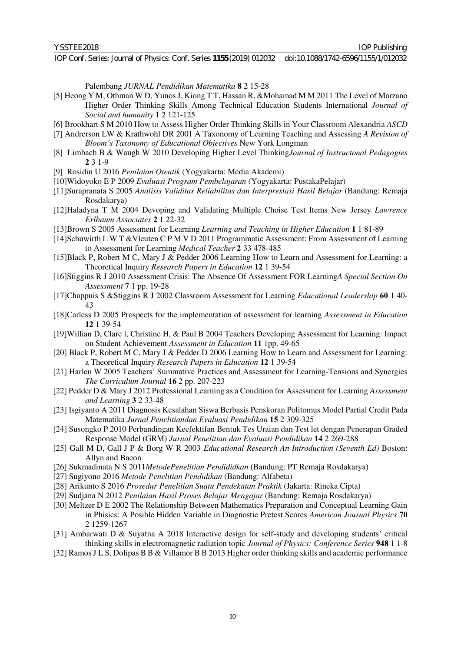Palembang *JURNAL Pendidikan Matematika* **8** 2 15-28

- [5] Heong Y M, Othman W D, Yunos J, Kiong T T, Hassan R, &Mohamad M M 2011 The Level of Marzano Higher Order Thinking Skills Among Technical Education Students International *Journal of Social and humanity* **1** 2 121-125
- [6] Brookhart S M 2010 How to Assess Higher Order Thinking Skills in Your Classroom Alexandria *ASCD*
- [7] Andrerson LW & Krathwohl DR 2001 A Taxonomy of Learning Teaching and Assessing *A Revision of Bloom's Taxonomy of Educational Objectives* New York Longman
- [8] Limbach B & Waugh W 2010 Developing Higher Level Thinking*Journal of Instructonal Pedagogies*  **2** 3 1-9
- [9] Rosidin U 2016 *Penilaian Otentik* (Yogyakarta: Media Akademi)
- [10]Widoyoko E P 2009 *Evaluasi Program Pembelajaran* (Yogyakarta: PustakaPelajar)
- [11]Surapranata S 2005 *Analisis Validitas Reliabilitas dan Interprestasi Hasil Belajar* (Bandung: Remaja Rosdakarya)
- [12]Haladyna T M 2004 Devoping and Validating Multiple Choise Test Items New Jersey *Lawrence Erlbaum Associates* **2** 1 22-32
- [13]Brown S 2005 Assessment for Learning *Learning and Teaching in Higher Education* **1** 1 81-89
- [14]Schuwirth L W T &Vleuten C P M V D 2011 Programmatic Assessment: From Assessment of Learning to Assessment for Learning *Medical Teacher* **2** 33 478-485
- [15]Black P, Robert M C, Mary J & Pedder 2006 Learning How to Learn and Assessment for Learning: a Theoretical Inquiry *Research Papers in Education* **12** 1 39-54
- [16]Stiggins R J 2010 Assessment Crisis: The Absence Of Assessment FOR Learning*A Special Section On Assessment* **7** 1 pp. 19-28
- [17]Chappuis S &Stiggins R J 2002 Classroom Assessment for Learning *Educational Leadership* **60** 1 40- 43
- [18]Carless D 2005 Prospects for the implementation of assessment for learning *Assessment in Education*  **12** 1 39-54
- [19]Willian D, Clare l, Christine H, & Paul B 2004 Teachers Developing Assessment for Learning: Impact on Student Achievement *Assessment in Education* **11** 1pp. 49-65
- [20] Black P, Robert M C, Mary J & Pedder D 2006 Learning How to Learn and Assessment for Learning: a Theoretical Inquiry *Research Papers in Education* **12** 1 39-54
- [21] Harlen W 2005 Teachers' Summative Practices and Assessment for Learning-Tensions and Synergies *The Curriculum Journal* **16** 2 pp. 207-223
- [22] Pedder D & Mary J 2012 Professional Learning as a Condition for Assessment for Learning *Assessment and Learning* **3** 2 33-48
- [23] Isgiyanto A 2011 Diagnosis Kesalahan Siswa Berbasis Penskoran Politomus Model Partial Credit Pada Matematika *Jurnal Penelitiandan Evaluasi Pendidikan* **15** 2 309-325
- [24] Susongko P 2010 Perbandingan Keefektifan Bentuk Tes Uraian dan Test let dengan Penerapan Graded Response Model (GRM) *Jurnal Penelitian dan Evaluasi Pendidikan* **14** 2 269-288
- [25] Gall M D, Gall J P & Borg W R 2003 *Educational Research An Introduction (Seventh Ed)* Boston: Allyn and Bacon
- [26] Sukmadinata N S 2011*MetodePenelitian Pendididkan* (Bandung: PT Remaja Rosdakarya)
- [27] Sugiyono 2016 *Metode Penelitian Pendidikan* (Bandung: Alfabeta)
- [28] Arikunto S 2016 *Prosedur Penelitian Suatu Pendekatan Praktik* (Jakarta: Rineka Cipta)
- [29] Sudjana N 2012 *Penilaian Hasil Proses Belajar Mengajar* (Bandung: Remaja Rosdakarya)
- [30] Meltzer D E 2002 The Relationship Between Mathematics Preparation and Conceptual Learning Gain in Phisics: A Posible Hidden Variable in Diagnostic Pretest Scores *American Journal Physics* **70** 2 1259-1267
- [31] Ambarwati D & Suyatna A 2018 Interactive design for self-study and developing students' critical thinking skills in electromagnetic radiation topic *Journal of Physics: Conference Series* **948** 1 1-8
- [32] Ramos J L S, Dolipas B B & Villamor B B 2013 Higher order thinking skills and academic performance